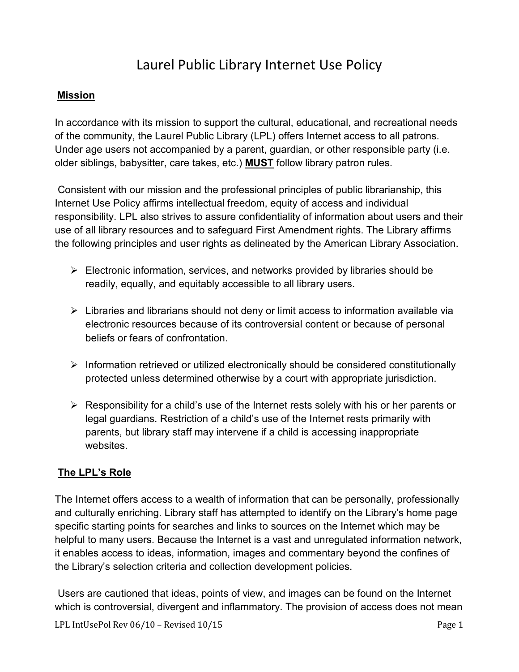# Laurel Public Library Internet Use Policy

## **Mission**

In accordance with its mission to support the cultural, educational, and recreational needs of the community, the Laurel Public Library (LPL) offers Internet access to all patrons. Under age users not accompanied by a parent, guardian, or other responsible party (i.e. older siblings, babysitter, care takes, etc.) **MUST** follow library patron rules.

Consistent with our mission and the professional principles of public librarianship, this Internet Use Policy affirms intellectual freedom, equity of access and individual responsibility. LPL also strives to assure confidentiality of information about users and their use of all library resources and to safeguard First Amendment rights. The Library affirms the following principles and user rights as delineated by the American Library Association.

- $\triangleright$  Electronic information, services, and networks provided by libraries should be readily, equally, and equitably accessible to all library users.
- $\triangleright$  Libraries and librarians should not deny or limit access to information available via electronic resources because of its controversial content or because of personal beliefs or fears of confrontation.
- $\triangleright$  Information retrieved or utilized electronically should be considered constitutionally protected unless determined otherwise by a court with appropriate jurisdiction.
- $\triangleright$  Responsibility for a child's use of the Internet rests solely with his or her parents or legal guardians. Restriction of a child's use of the Internet rests primarily with parents, but library staff may intervene if a child is accessing inappropriate websites.

## **The LPL's Role**

The Internet offers access to a wealth of information that can be personally, professionally and culturally enriching. Library staff has attempted to identify on the Library's home page specific starting points for searches and links to sources on the Internet which may be helpful to many users. Because the Internet is a vast and unregulated information network, it enables access to ideas, information, images and commentary beyond the confines of the Library's selection criteria and collection development policies.

Users are cautioned that ideas, points of view, and images can be found on the Internet which is controversial, divergent and inflammatory. The provision of access does not mean

LPL IntUsePol Rev 06/10 - Revised 10/15 Page 1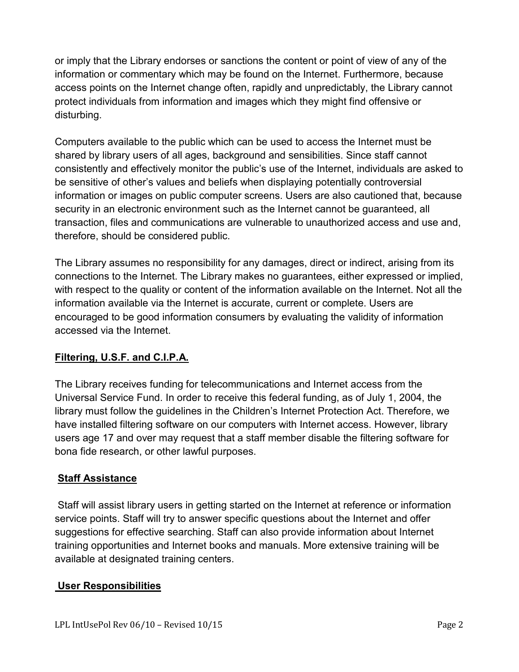or imply that the Library endorses or sanctions the content or point of view of any of the information or commentary which may be found on the Internet. Furthermore, because access points on the Internet change often, rapidly and unpredictably, the Library cannot protect individuals from information and images which they might find offensive or disturbing.

Computers available to the public which can be used to access the Internet must be shared by library users of all ages, background and sensibilities. Since staff cannot consistently and effectively monitor the public's use of the Internet, individuals are asked to be sensitive of other's values and beliefs when displaying potentially controversial information or images on public computer screens. Users are also cautioned that, because security in an electronic environment such as the Internet cannot be guaranteed, all transaction, files and communications are vulnerable to unauthorized access and use and, therefore, should be considered public.

The Library assumes no responsibility for any damages, direct or indirect, arising from its connections to the Internet. The Library makes no guarantees, either expressed or implied, with respect to the quality or content of the information available on the Internet. Not all the information available via the Internet is accurate, current or complete. Users are encouraged to be good information consumers by evaluating the validity of information accessed via the Internet.

## **Filtering, U.S.F. and C.I.P.A.**

The Library receives funding for telecommunications and Internet access from the Universal Service Fund. In order to receive this federal funding, as of July 1, 2004, the library must follow the guidelines in the Children's Internet Protection Act. Therefore, we have installed filtering software on our computers with Internet access. However, library users age 17 and over may request that a staff member disable the filtering software for bona fide research, or other lawful purposes.

## **Staff Assistance**

Staff will assist library users in getting started on the Internet at reference or information service points. Staff will try to answer specific questions about the Internet and offer suggestions for effective searching. Staff can also provide information about Internet training opportunities and Internet books and manuals. More extensive training will be available at designated training centers.

## **User Responsibilities**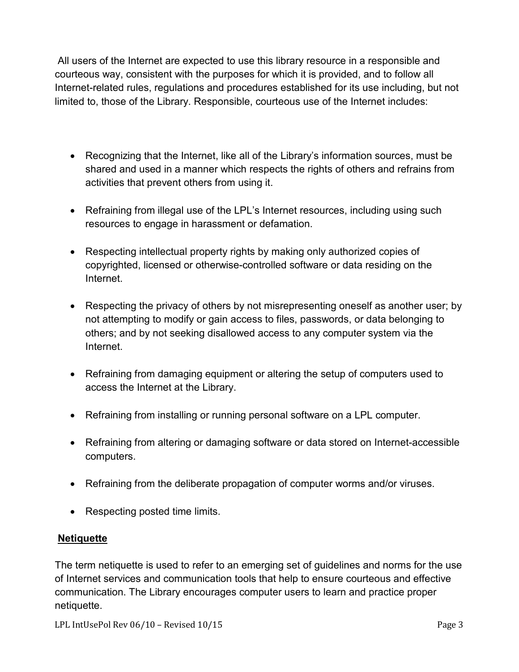All users of the Internet are expected to use this library resource in a responsible and courteous way, consistent with the purposes for which it is provided, and to follow all Internet-related rules, regulations and procedures established for its use including, but not limited to, those of the Library. Responsible, courteous use of the Internet includes:

- Recognizing that the Internet, like all of the Library's information sources, must be shared and used in a manner which respects the rights of others and refrains from activities that prevent others from using it.
- Refraining from illegal use of the LPL's Internet resources, including using such resources to engage in harassment or defamation.
- Respecting intellectual property rights by making only authorized copies of copyrighted, licensed or otherwise-controlled software or data residing on the Internet.
- Respecting the privacy of others by not misrepresenting oneself as another user; by not attempting to modify or gain access to files, passwords, or data belonging to others; and by not seeking disallowed access to any computer system via the Internet.
- Refraining from damaging equipment or altering the setup of computers used to access the Internet at the Library.
- Refraining from installing or running personal software on a LPL computer.
- Refraining from altering or damaging software or data stored on Internet-accessible computers.
- Refraining from the deliberate propagation of computer worms and/or viruses.
- Respecting posted time limits.

## **Netiquette**

The term netiquette is used to refer to an emerging set of guidelines and norms for the use of Internet services and communication tools that help to ensure courteous and effective communication. The Library encourages computer users to learn and practice proper netiquette.

LPL IntUsePol Rev 06/10 – Revised 10/15 Page 3